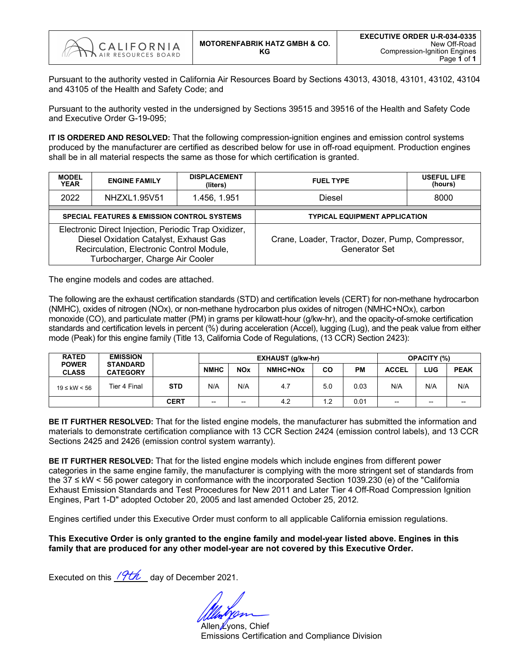

Pursuant to the authority vested in California Air Resources Board by Sections 43013, 43018, 43101, 43102, 43104 and 43105 of the Health and Safety Code; and

Pursuant to the authority vested in the undersigned by Sections 39515 and 39516 of the Health and Safety Code and Executive Order G-19-095;

**IT IS ORDERED AND RESOLVED:** That the following compression-ignition engines and emission control systems produced by the manufacturer are certified as described below for use in off-road equipment. Production engines shall be in all material respects the same as those for which certification is granted.

| <b>MODEL</b><br><b>YEAR</b> | <b>ENGINE FAMILY</b>                                                                                                                                                           | <b>DISPLACEMENT</b><br>(liters) | <b>FUEL TYPE</b>                                                         | <b>USEFUL LIFE</b><br>(hours) |  |  |  |  |
|-----------------------------|--------------------------------------------------------------------------------------------------------------------------------------------------------------------------------|---------------------------------|--------------------------------------------------------------------------|-------------------------------|--|--|--|--|
| 2022                        | NHZXL1.95V51                                                                                                                                                                   | 1.456, 1.951                    | <b>Diesel</b>                                                            | 8000                          |  |  |  |  |
|                             | <b>SPECIAL FEATURES &amp; EMISSION CONTROL SYSTEMS</b>                                                                                                                         |                                 | <b>TYPICAL EQUIPMENT APPLICATION</b>                                     |                               |  |  |  |  |
|                             | Electronic Direct Injection, Periodic Trap Oxidizer,<br>Diesel Oxidation Catalyst, Exhaust Gas<br>Recirculation, Electronic Control Module,<br>Turbocharger, Charge Air Cooler |                                 | Crane, Loader, Tractor, Dozer, Pump, Compressor,<br><b>Generator Set</b> |                               |  |  |  |  |

The engine models and codes are attached.

The following are the exhaust certification standards (STD) and certification levels (CERT) for non-methane hydrocarbon (NMHC), oxides of nitrogen (NOx), or non-methane hydrocarbon plus oxides of nitrogen (NMHC+NOx), carbon monoxide (CO), and particulate matter (PM) in grams per kilowatt-hour (g/kw-hr), and the opacity-of-smoke certification standards and certification levels in percent (%) during acceleration (Accel), lugging (Lug), and the peak value from either mode (Peak) for this engine family (Title 13, California Code of Regulations, (13 CCR) Section 2423):

| <b>RATED</b>                 | <b>EMISSION</b>                    |             |             |            | EXHAUST (g/kw-hr)    |           | <b>OPACITY (%)</b> |                          |       |             |
|------------------------------|------------------------------------|-------------|-------------|------------|----------------------|-----------|--------------------|--------------------------|-------|-------------|
| <b>POWER</b><br><b>CLASS</b> | <b>STANDARD</b><br><b>CATEGORY</b> |             | <b>NMHC</b> | <b>NOx</b> | NMHC+NO <sub>x</sub> | <b>CO</b> | PМ                 | <b>ACCEL</b>             | LUG   | <b>PEAK</b> |
| $19 ≤$ kW < 56               | Tier 4 Final                       | <b>STD</b>  | N/A         | N/A        | 4.7                  | 5.0       | 0.03               | N/A                      | N/A   | N/A         |
|                              |                                    | <b>CERT</b> | --          | $- -$      | 4.2                  | 1.2       | 0.01               | $\overline{\phantom{a}}$ | $- -$ | $- -$       |

**BE IT FURTHER RESOLVED:** That for the listed engine models, the manufacturer has submitted the information and materials to demonstrate certification compliance with 13 CCR Section 2424 (emission control labels), and 13 CCR Sections 2425 and 2426 (emission control system warranty).

**BE IT FURTHER RESOLVED:** That for the listed engine models which include engines from different power categories in the same engine family, the manufacturer is complying with the more stringent set of standards from the 37 ≤ kW < 56 power category in conformance with the incorporated Section 1039.230 (e) of the "California Exhaust Emission Standards and Test Procedures for New 2011 and Later Tier 4 Off-Road Compression Ignition Engines, Part 1-D" adopted October 20, 2005 and last amended October 25, 2012.

Engines certified under this Executive Order must conform to all applicable California emission regulations.

**This Executive Order is only granted to the engine family and model-year listed above. Engines in this family that are produced for any other model-year are not covered by this Executive Order.**

Executed on this  $\sqrt{7t\hbar}$  day of December 2021.

Allen *Lyons*, Chief Emissions Certification and Compliance Division